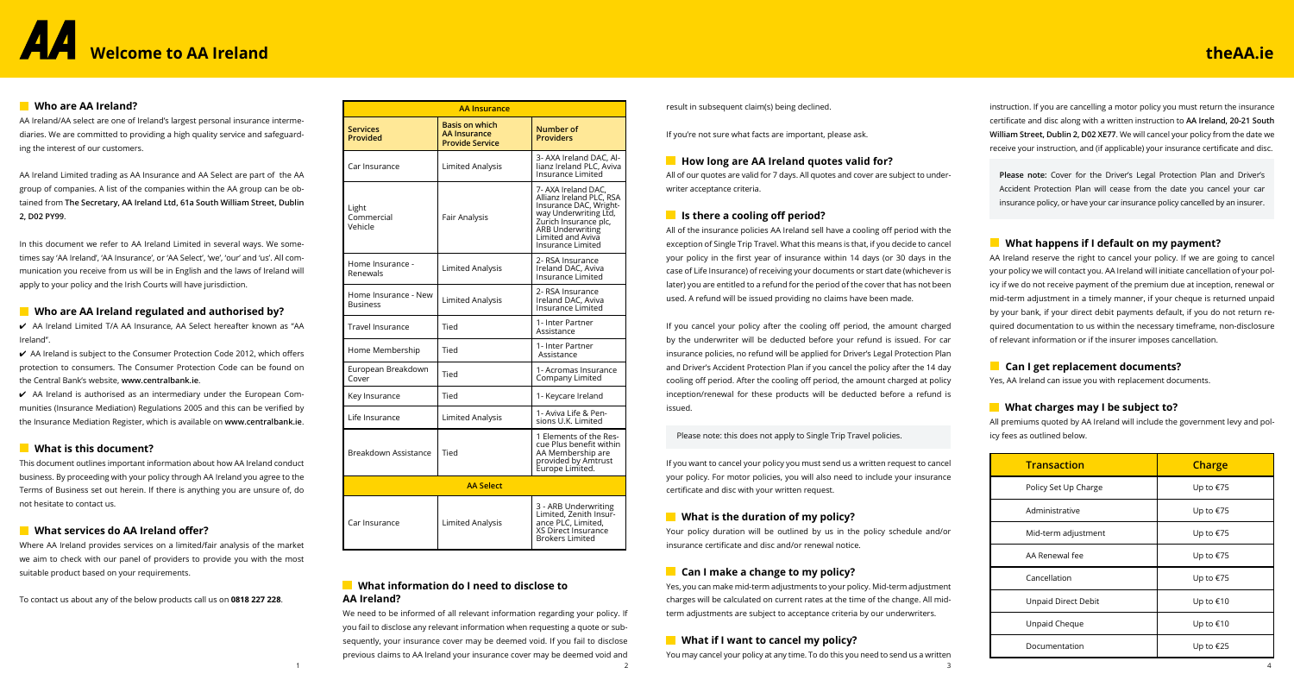# **Welcome to AA Ireland**

instruction. If you are cancelling a motor policy you must return the insurance certificate and disc along with a written instruction to **AA Ireland, 20-21 South William Street, Dublin 2, D02 XE77**. We will cancel your policy from the date we receive your instruction, and (if applicable) your insurance certificate and disc.

**Please note:** Cover for the Driver's Legal Protection Plan and Driver's Accident Protection Plan will cease from the date you cancel your car insurance policy, or have your car insurance policy cancelled by an insurer.

# **What happens if I default on my payment?**

AA Ireland reserve the right to cancel your policy. If we are going to cancel your policy we will contact you. AA Ireland will initiate cancellation of your policy if we do not receive payment of the premium due at inception, renewal or mid-term adjustment in a timely manner, if your cheque is returned unpaid by your bank, if your direct debit payments default, if you do not return required documentation to us within the necessary timeframe, non-disclosure of relevant information or if the insurer imposes cancellation.

# **Can I get replacement documents?**

Yes, AA Ireland can issue you with replacement documents.

# **What charges may I be subject to?**

All premiums quoted by AA Ireland will include the government levy and policy fees as outlined below.



result in subsequent claim(s) being declined.

If you're not sure what facts are important, please ask.

# **How long are AA Ireland quotes valid for?**

All of our quotes are valid for 7 days. All quotes and cover are subject to underwriter acceptance criteria.

# **If** Is there a cooling off period?

We need to be informed of all relevant information regarding your policy. If you fail to disclose any relevant information when requesting a quote or subsequently, your insurance cover may be deemed void. If you fail to disclose previous claims to AA Ireland your insurance cover may be deemed void and 1  $\frac{2}{3}$  4

All of the insurance policies AA Ireland sell have a cooling off period with the exception of Single Trip Travel. What this means is that, if you decide to cancel your policy in the first year of insurance within 14 days (or 30 days in the case of Life Insurance) of receiving your documents or start date (whichever is later) you are entitled to a refund for the period of the cover that has not been used. A refund will be issued providing no claims have been made.

If you cancel your policy after the cooling off period, the amount charged by the underwriter will be deducted before your refund is issued. For car insurance policies, no refund will be applied for Driver's Legal Protection Plan and Driver's Accident Protection Plan if you cancel the policy after the 14 day cooling off period. After the cooling off period, the amount charged at policy inception/renewal for these products will be deducted before a refund is issued.

 $\checkmark$  AA Ireland is authorised as an intermediary under the European Communities (Insurance Mediation) Regulations 2005 and this can be verified by the Insurance Mediation Register, which is available on **www.centralbank.ie**.

Please note: this does not apply to Single Trip Travel policies.

If you want to cancel your policy you must send us a written request to cancel your policy. For motor policies, you will also need to include your insurance certificate and disc with your written request.

# **What is the duration of my policy?**

Your policy duration will be outlined by us in the policy schedule and/or insurance certificate and disc and/or renewal notice.

# **Can I make a change to my policy?**

Yes, you can make mid-term adjustments to your policy. Mid-term adjustment charges will be calculated on current rates at the time of the change. All midterm adjustments are subject to acceptance criteria by our underwriters.

# **What if I want to cancel my policy?**

You may cancel your policy at any time. To do this you need to send us a written

# **What information do I need to disclose to AA Ireland?**

# **Who are AA Ireland?**

AA Ireland/AA select are one of Ireland's largest personal insurance intermediaries. We are committed to providing a high quality service and safeguarding the interest of our customers.

AA Ireland Limited trading as AA Insurance and AA Select are part of the AA group of companies. A list of the companies within the AA group can be obtained from **The Secretary, AA Ireland Ltd, 61a South William Street, Dublin 2, D02 PY99**.

In this document we refer to AA Ireland Limited in several ways. We sometimes say 'AA Ireland', 'AA Insurance', or 'AA Select', 'we', 'our' and 'us'. All communication you receive from us will be in English and the laws of Ireland will apply to your policy and the Irish Courts will have jurisdiction.

# **Who are AA Ireland regulated and authorised by?**

4 AA Ireland Limited T/A AA Insurance, AA Select hereafter known as "AA Ireland''.

4 AA Ireland is subject to the Consumer Protection Code 2012, which offers protection to consumers. The Consumer Protection Code can be found on the Central Bank's website, **www.centralbank.ie**.

# **What is this document?**

This document outlines important information about how AA Ireland conduct business. By proceeding with your policy through AA Ireland you agree to the Terms of Business set out herein. If there is anything you are unsure of, do not hesitate to contact us.

# **What services do AA Ireland offer?**

Where AA Ireland provides services on a limited/fair analysis of the market we aim to check with our panel of providers to provide you with the most suitable product based on your requirements.

To contact us about any of the below products call us on **0818 227 228**.

| Transaction          | <b>Charge</b> |  |
|----------------------|---------------|--|
| Policy Set Up Charge | Up to €75     |  |
| Administrative       | Up to €75     |  |
| Mid-term adjustment  | Up to €75     |  |
| AA Renewal fee       | Up to €75     |  |
| Cancellation         | Up to €75     |  |
| Unpaid Direct Debit  | Up to €10     |  |
| Unpaid Cheque        | Up to €10     |  |
| Documentation        | Up to €25     |  |

# **theAA.ie**

| <b>AA Insurance</b>                     |                                                                 |                                                                                                                                                                                           |
|-----------------------------------------|-----------------------------------------------------------------|-------------------------------------------------------------------------------------------------------------------------------------------------------------------------------------------|
| <b>Services</b><br>Provided             | <b>Basis on which</b><br>AA Insurance<br><b>Provide Service</b> | <b>Number of</b><br><b>Providers</b>                                                                                                                                                      |
| Car Insurance                           | Limited Analysis                                                | 3- AXA Ireland DAC, Al-<br>lianz Ireland PLC, Aviva<br>Insurance Limited                                                                                                                  |
| Light<br>Commercial<br>Vehicle          | Fair Analysis                                                   | 7- AXA Ireland DAC.<br>Allianz Ireland PLC. RSA<br>Insurance DAC, Wright-<br>way Underwriting Ltd,<br>Zurich Insurance plc,<br>ARB Underwriting<br>Limited and Aviva<br>Insurance Limited |
| Home Insurance -<br>Renewals            | Limited Analysis                                                | 2- RSA Insurance<br>Ireland DAC, Aviva<br>Insurance Limited                                                                                                                               |
| Home Insurance - New<br><b>Business</b> | Limited Analysis                                                | 2- RSA Insurance<br>Ireland DAC, Aviva<br><b>Insurance Limited</b>                                                                                                                        |
| Travel Insurance                        | Tied                                                            | 1- Inter Partner<br>Assistance                                                                                                                                                            |
| Home Membership                         | Tied                                                            | 1- Inter Partner<br>Assistance                                                                                                                                                            |
| European Breakdown<br>Cover             | Tied                                                            | 1- Acromas Insurance<br>Company Limited                                                                                                                                                   |
| Key Insurance                           | Tied                                                            | 1- Keycare Ireland                                                                                                                                                                        |
| Life Insurance                          | Limited Analysis                                                | 1- Aviva Life & Pen-<br>sions U.K. Limited                                                                                                                                                |
| Breakdown Assistance                    | Tied                                                            | 1 Elements of the Res-<br>cue Plus benefit within<br>AA Membership are<br>provided by Amtrust<br>Europe Limited.                                                                          |
| <b>AA Select</b>                        |                                                                 |                                                                                                                                                                                           |
| Car Insurance                           | Limited Analysis                                                | 3 - ARB Underwriting<br>Limited, Zenith Insur-<br>ance PLC, Limited,<br>XS Direct Insurance<br><b>Brokers Limited</b>                                                                     |